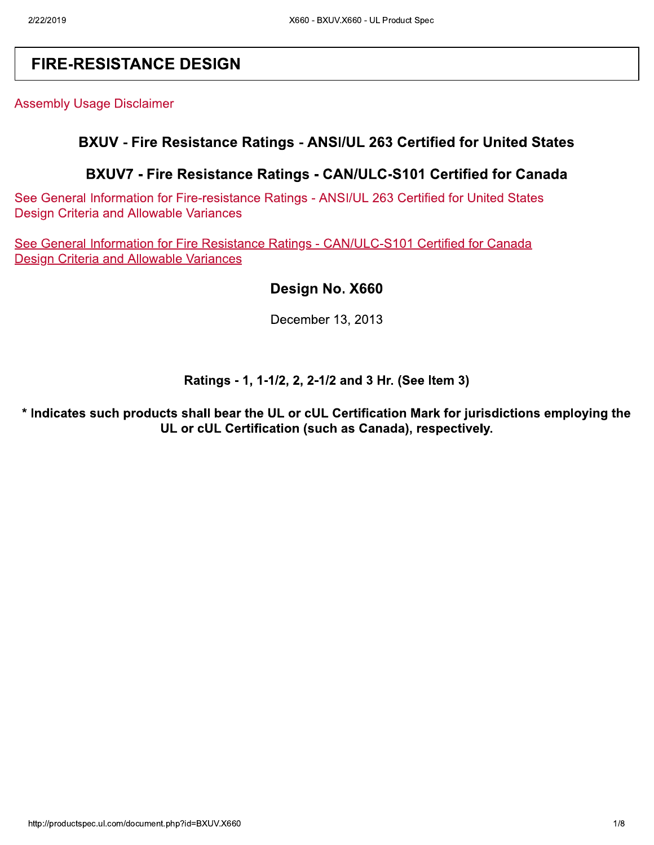## **FIRE-RESISTANCE DESIGN**

**Assembly Usage Disclaimer** 

### BXUV - Fire Resistance Ratings - ANSI/UL 263 Certified for United States

### BXUV7 - Fire Resistance Ratings - CAN/ULC-S101 Certified for Canada

See General Information for Fire-resistance Ratings - ANSI/UL 263 Certified for United States **Design Criteria and Allowable Variances** 

See General Information for Fire Resistance Ratings - CAN/ULC-S101 Certified for Canada **Design Criteria and Allowable Variances** 

#### Design No. X660

December 13, 2013

#### Ratings - 1, 1-1/2, 2, 2-1/2 and 3 Hr. (See Item 3)

\* Indicates such products shall bear the UL or cUL Certification Mark for jurisdictions employing the UL or cUL Certification (such as Canada), respectively.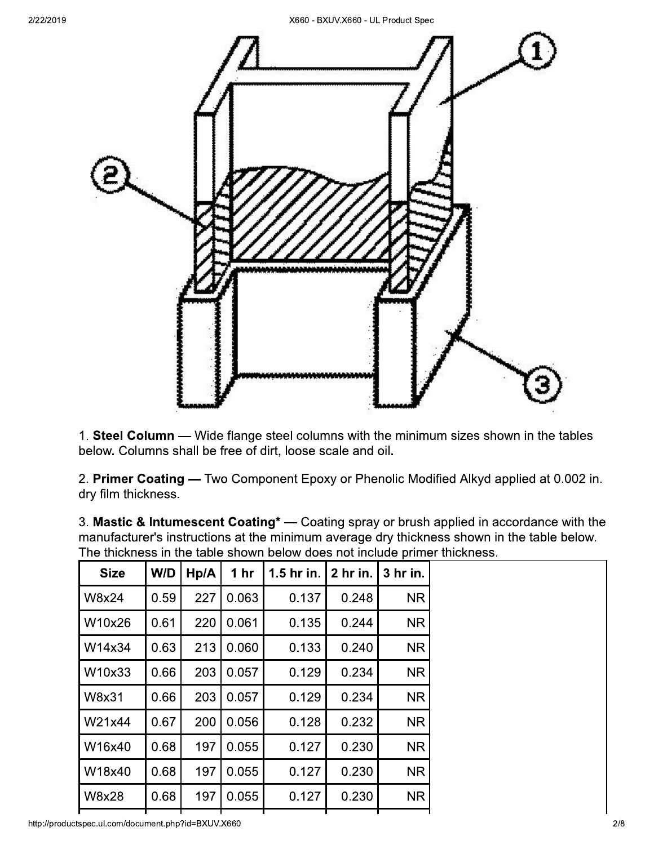

1. Steel Column — Wide flange steel columns with the minimum sizes shown in the tables below. Columns shall be free of dirt, loose scale and oil.

2. Primer Coating - Two Component Epoxy or Phenolic Modified Alkyd applied at 0.002 in. dry film thickness.

|              |                      |             |                                                        |       |           | <u>THANGE CONFIDENTIAL CONTRACTOR OF THE CONFIDENTIAL CONFIGURATION OF CONFIDENTIAL CONFIDENTIAL CONFIDENTIAL CONFIDENTIAL CONFIDENTIAL CONFIDENTIAL CONFIDENTIAL CONFIDENTIAL CONFIDENTIAL CONFIDENTIAL CONFIDENTIAL CONFIDENTI</u><br>The thickness in the table shown below does not include primer thickness. |
|--------------|----------------------|-------------|--------------------------------------------------------|-------|-----------|-------------------------------------------------------------------------------------------------------------------------------------------------------------------------------------------------------------------------------------------------------------------------------------------------------------------|
| <b>Size</b>  |                      |             | $W/D$   Hp/A   1 hr   1.5 hr in.   2 hr in.   3 hr in. |       |           |                                                                                                                                                                                                                                                                                                                   |
| <b>W8x24</b> | 0.59                 | 227 0.063   | 0.137                                                  | 0.248 | NR.       |                                                                                                                                                                                                                                                                                                                   |
| W10x26       | $\vert$ 0.61 $\vert$ | 220   0.061 | 0.135                                                  | 0.244 | NR.       |                                                                                                                                                                                                                                                                                                                   |
| W14x34       | 0.63                 | 213 0.060   | 0.133                                                  | 0.240 | <b>NR</b> |                                                                                                                                                                                                                                                                                                                   |

0.129

0.129

0.128

0.127

0.127

0.127

3. Mastic & Intumescent Coating<sup>\*</sup> — Coating spray or brush applied in accordance with the manufacturer's instructions at the minimum average dry thickness shown in the table below.

0.234

0.234

0.232

0.230

0.230

0.230

**NR** 

**NR** 

**NR** 

**NR** 

**NR** 

**NR** 

http://productspec.ul.com/document.php?id=BXUV.X660

0.66

0.66

0.67

0.68

0.68

0.68

W10x33

W8x31

W21x44

W16x40

W18x40

**W8x28** 

 $203 | 0.057$ 

0.057

0.056

0.055

0.055

0.055

203

200

197

197

197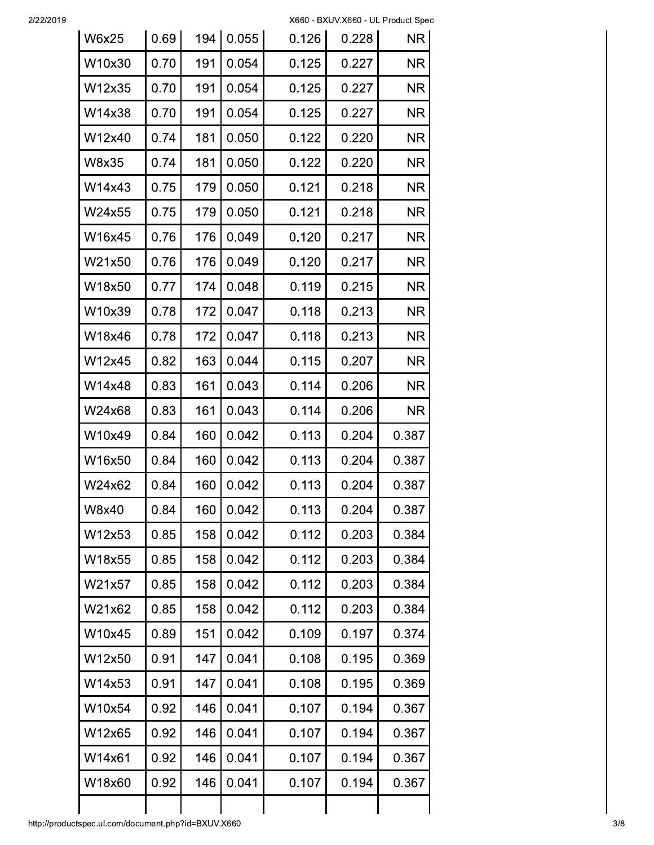2/22/2019

| <b>W6x25</b> | 0.69 | 194 | 0.055 | 0.126 | 0.228 | <b>NR</b> |
|--------------|------|-----|-------|-------|-------|-----------|
| W10x30       | 0.70 | 191 | 0.054 | 0.125 | 0.227 | <b>NR</b> |
| W12x35       | 0.70 | 191 | 0.054 | 0.125 | 0.227 | <b>NR</b> |
| W14x38       | 0.70 | 191 | 0.054 | 0.125 | 0.227 | ΝR        |
| W12x40       | 0.74 | 181 | 0.050 | 0.122 | 0.220 | ΝR        |
| W8x35        | 0.74 | 181 | 0.050 | 0.122 | 0.220 | <b>NR</b> |
| W14x43       | 0.75 | 179 | 0.050 | 0.121 | 0.218 | ΝR        |
| W24x55       | 0.75 | 179 | 0.050 | 0.121 | 0.218 | <b>NR</b> |
| W16x45       | 0.76 | 176 | 0.049 | 0.120 | 0.217 | <b>NR</b> |
| W21x50       | 0.76 | 176 | 0.049 | 0.120 | 0.217 | <b>NR</b> |
| W18x50       | 0.77 | 174 | 0.048 | 0.119 | 0.215 | ΝR        |
| W10x39       | 0.78 | 172 | 0.047 | 0.118 | 0.213 | ΝR        |
| W18x46       | 0.78 | 172 | 0.047 | 0.118 | 0.213 | <b>NR</b> |
| W12x45       | 0.82 | 163 | 0.044 | 0.115 | 0.207 | <b>NR</b> |
| W14x48       | 0.83 | 161 | 0.043 | 0.114 | 0.206 | <b>NR</b> |
| W24x68       | 0.83 | 161 | 0.043 | 0.114 | 0.206 | <b>NR</b> |
| W10x49       | 0.84 | 160 | 0.042 | 0.113 | 0.204 | 0.387     |
| W16x50       | 0.84 | 160 | 0.042 | 0.113 | 0.204 | 0.387     |
| W24x62       | 0.84 | 160 | 0.042 | 0.113 | 0.204 | 0.387     |
| W8x40        | 0.84 | 160 | 0.042 | 0.113 | 0.204 | 0.387     |
| W12x53       | 0.85 | 158 | 0.042 | 0.112 | 0.203 | 0.384     |
| W18x55       | 0.85 | 158 | 0.042 | 0.112 | 0.203 | 0.384     |
| W21x57       | 0.85 | 158 | 0.042 | 0.112 | 0.203 | 0.384     |
| W21x62       | 0.85 | 158 | 0.042 | 0.112 | 0.203 | 0.384     |
| W10x45       | 0.89 | 151 | 0.042 | 0.109 | 0.197 | 0.374     |
| W12x50       | 0.91 | 147 | 0.041 | 0.108 | 0.195 | 0.369     |
| W14x53       | 0.91 | 147 | 0.041 | 0.108 | 0.195 | 0.369     |
| W10x54       | 0.92 | 146 | 0.041 | 0.107 | 0.194 | 0.367     |
| W12x65       | 0.92 | 146 | 0.041 | 0.107 | 0.194 | 0.367     |
| W14x61       | 0.92 | 146 | 0.041 | 0.107 | 0.194 | 0.367     |
| W18x60       | 0.92 | 146 | 0.041 | 0.107 | 0.194 | 0.367     |
|              |      |     |       |       |       |           |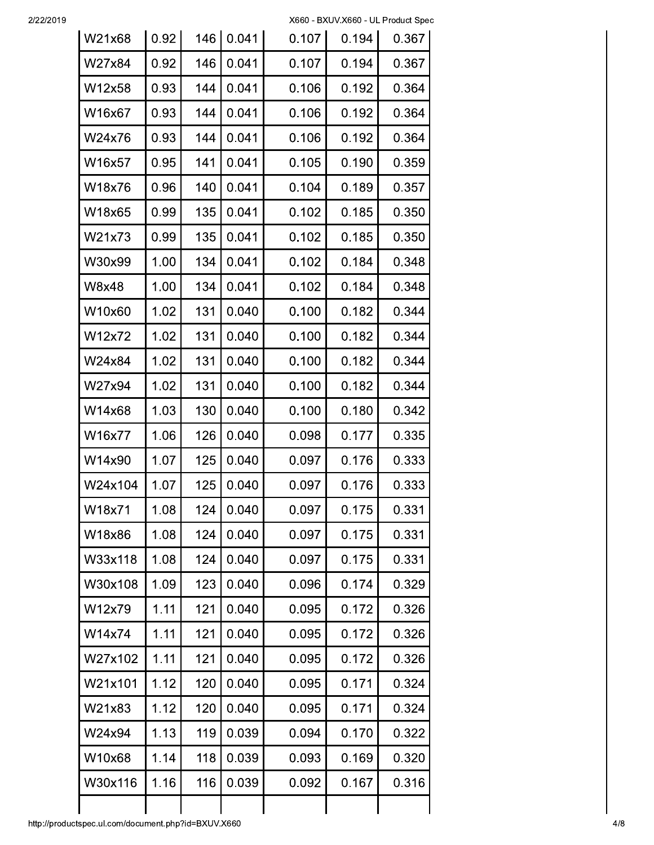2/22/2019

| W21x68  | 0.92 | 146 | 0.041 | 0.107 | 0.194 | 0.367 |
|---------|------|-----|-------|-------|-------|-------|
| W27x84  | 0.92 | 146 | 0.041 | 0.107 | 0.194 | 0.367 |
| W12x58  | 0.93 | 144 | 0.041 | 0.106 | 0.192 | 0.364 |
| W16x67  | 0.93 | 144 | 0.041 | 0.106 | 0.192 | 0.364 |
| W24x76  | 0.93 | 144 | 0.041 | 0.106 | 0.192 | 0.364 |
| W16x57  | 0.95 | 141 | 0.041 | 0.105 | 0.190 | 0.359 |
| W18x76  | 0.96 | 140 | 0.041 | 0.104 | 0.189 | 0.357 |
| W18x65  | 0.99 | 135 | 0.041 | 0.102 | 0.185 | 0.350 |
| W21x73  | 0.99 | 135 | 0.041 | 0.102 | 0.185 | 0.350 |
| W30x99  | 1.00 | 134 | 0.041 | 0.102 | 0.184 | 0.348 |
| W8x48   | 1.00 | 134 | 0.041 | 0.102 | 0.184 | 0.348 |
| W10x60  | 1.02 | 131 | 0.040 | 0.100 | 0.182 | 0.344 |
| W12x72  | 1.02 | 131 | 0.040 | 0.100 | 0.182 | 0.344 |
| W24x84  | 1.02 | 131 | 0.040 | 0.100 | 0.182 | 0.344 |
| W27x94  | 1.02 | 131 | 0.040 | 0.100 | 0.182 | 0.344 |
| W14x68  | 1.03 | 130 | 0.040 | 0.100 | 0.180 | 0.342 |
| W16x77  | 1.06 | 126 | 0.040 | 0.098 | 0.177 | 0.335 |
| W14x90  | 1.07 | 125 | 0.040 | 0.097 | 0.176 | 0.333 |
| W24x104 | 1.07 | 125 | 0.040 | 0.097 | 0.176 | 0.333 |
| W18x71  | 1.08 | 124 | 0.040 | 0.097 | 0.175 | 0.331 |
| W18x86  | 1.08 | 124 | 0.040 | 0.097 | 0.175 | 0.331 |
| W33x118 | 1.08 | 124 | 0.040 | 0.097 | 0.175 | 0.331 |
| W30x108 | 1.09 | 123 | 0.040 | 0.096 | 0.174 | 0.329 |
| W12x79  | 1.11 | 121 | 0.040 | 0.095 | 0.172 | 0.326 |
| W14x74  | 1.11 | 121 | 0.040 | 0.095 | 0.172 | 0.326 |
| W27x102 | 1.11 | 121 | 0.040 | 0.095 | 0.172 | 0.326 |
| W21x101 | 1.12 | 120 | 0.040 | 0.095 | 0.171 | 0.324 |
| W21x83  | 1.12 | 120 | 0.040 | 0.095 | 0.171 | 0.324 |
| W24x94  | 1.13 | 119 | 0.039 | 0.094 | 0.170 | 0.322 |
| W10x68  | 1.14 | 118 | 0.039 | 0.093 | 0.169 | 0.320 |
| W30x116 | 1.16 | 116 | 0.039 | 0.092 | 0.167 | 0.316 |
|         |      |     |       |       |       |       |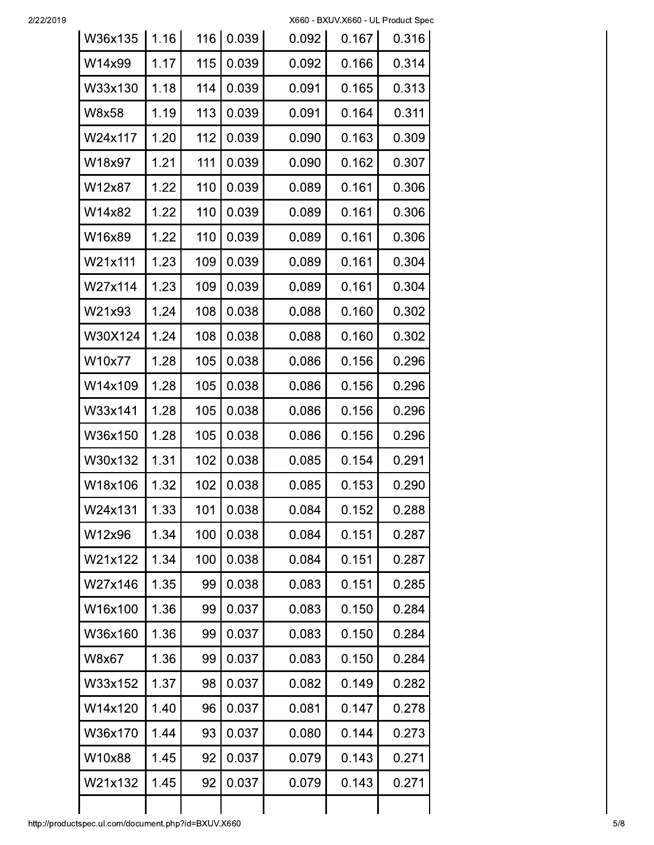| W36x135 | 1.16 | 116 | 0.039 | 0.092 | 0.167 | 0.316 |
|---------|------|-----|-------|-------|-------|-------|
| W14x99  | 1.17 | 115 | 0.039 | 0.092 | 0.166 | 0.314 |
| W33x130 | 1.18 | 114 | 0.039 | 0.091 | 0.165 | 0.313 |
| W8x58   | 1.19 | 113 | 0.039 | 0.091 | 0.164 | 0.311 |
| W24x117 | 1.20 | 112 | 0.039 | 0.090 | 0.163 | 0.309 |
| W18x97  | 1.21 | 111 | 0.039 | 0.090 | 0.162 | 0.307 |
| W12x87  | 1.22 | 110 | 0.039 | 0.089 | 0.161 | 0.306 |
| W14x82  | 1.22 | 110 | 0.039 | 0.089 | 0.161 | 0.306 |
| W16x89  | 1.22 | 110 | 0.039 | 0.089 | 0.161 | 0.306 |
| W21x111 | 1.23 | 109 | 0.039 | 0.089 | 0.161 | 0.304 |
| W27x114 | 1.23 | 109 | 0.039 | 0.089 | 0.161 | 0.304 |
| W21x93  | 1.24 | 108 | 0.038 | 0.088 | 0.160 | 0.302 |
| W30X124 | 1.24 | 108 | 0.038 | 0.088 | 0.160 | 0.302 |
| W10x77  | 1.28 | 105 | 0.038 | 0.086 | 0.156 | 0.296 |
| W14x109 | 1.28 | 105 | 0.038 | 0.086 | 0.156 | 0.296 |
| W33x141 | 1.28 | 105 | 0.038 | 0.086 | 0.156 | 0.296 |
| W36x150 | 1.28 | 105 | 0.038 | 0.086 | 0.156 | 0.296 |
| W30x132 | 1.31 | 102 | 0.038 | 0.085 | 0.154 | 0.291 |
| W18x106 | 1.32 | 102 | 0.038 | 0.085 | 0.153 | 0.290 |
| W24x131 | 1.33 | 101 | 0.038 | 0.084 | 0.152 | 0.288 |
| W12x96  | 1.34 | 100 | 0.038 | 0.084 | 0.151 | 0.287 |
| W21x122 | 1.34 | 100 | 0.038 | 0.084 | 0.151 | 0.287 |
| W27x146 | 1.35 | 99  | 0.038 | 0.083 | 0.151 | 0.285 |
| W16x100 | 1.36 | 99  | 0.037 | 0.083 | 0.150 | 0.284 |
| W36x160 | 1.36 | 99  | 0.037 | 0.083 | 0.150 | 0.284 |
| W8x67   | 1.36 | 99  | 0.037 | 0.083 | 0.150 | 0.284 |
| W33x152 | 1.37 | 98  | 0.037 | 0.082 | 0.149 | 0.282 |
| W14x120 | 1.40 | 96  | 0.037 | 0.081 | 0.147 | 0.278 |
| W36x170 | 1.44 | 93  | 0.037 | 0.080 | 0.144 | 0.273 |
| W10x88  | 1.45 | 92  | 0.037 | 0.079 | 0.143 | 0.271 |
| W21x132 | 1.45 | 92  | 0.037 | 0.079 | 0.143 | 0.271 |
|         |      |     |       |       |       |       |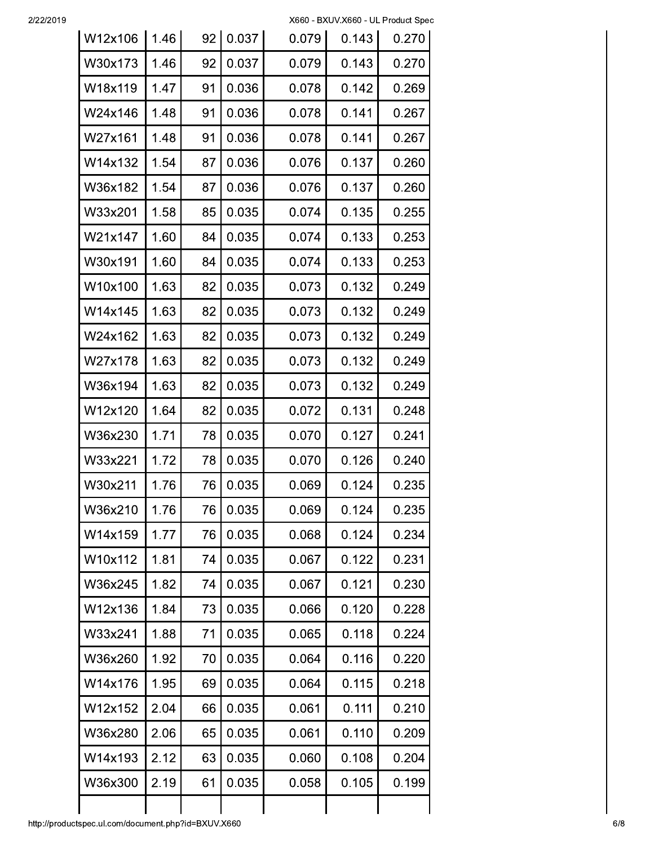2/22/2019

| 0.037<br>W30x173<br>1.46<br>92<br>0.079<br>0.143<br>0.036<br>W18x119<br>1.47<br>91<br>0.078<br>0.142<br>0.269<br>1.48<br>0.036<br>0.078<br>0.141<br>0.267<br>W24x146<br>91<br>1.48<br>0.036<br>0.078<br>0.141<br>0.267<br>W27x161<br>91<br>W14x132<br>1.54<br>0.036<br>0.076<br>0.137<br>87<br>0.260<br>0.036<br>0.137<br>W36x182<br>1.54<br>87<br>0.076<br>0.260<br>0.035<br>0.135<br>0.255<br>W33x201<br>1.58<br>85<br>0.074<br>0.035<br>0.133<br>W21x147<br>1.60<br>84<br>0.253<br>0.074<br>0.035<br>0.133<br>W30x191<br>1.60<br>84<br>0.074<br>0.253<br>82<br>0.035<br>W10x100<br>1.63<br>0.073<br>0.132<br>0.249<br>W14x145<br>1.63<br>82<br>0.035<br>0.073<br>0.132<br>0.249<br>82<br>0.132<br>W24x162<br>1.63<br>0.035<br>0.073<br>0.073<br>W27x178<br>1.63<br>82<br>0.035<br>0.132<br>82<br>0.035<br>0.073<br>0.132<br>W36x194<br>1.63<br>82<br>0.035<br>0.072<br>0.131<br>W12x120<br>1.64<br>1.71<br>0.035<br>0.127<br>W36x230<br>78<br>0.070<br>78<br>0.035<br>0.126<br>W33x221<br>1.72<br>0.070<br>1.76<br>76<br>0.035<br>0.124<br>W30x211<br>0.069<br>W36x210<br>1.76<br>76<br>0.035<br>0.069<br>0.124<br>1.77<br>0.035<br>W14x159<br>0.068<br>0.124<br>76<br>W10x112<br>0.035<br>1.81<br>0.067<br>0.122<br>74<br>0.035<br>W36x245<br>0.067<br>0.121<br>1.82<br>74<br>0.035<br>W12x136<br>1.84<br>73<br>0.066<br>0.120<br>0.035<br>0.118<br>1.88<br>71<br>0.065<br>W33x241<br>0.035<br>1.92<br>70<br>0.064<br>0.116<br>W36x260<br>0.035<br>1.95<br>69<br>0.064<br>0.115<br>W14x176<br>W12x152<br>0.035<br>0.061<br>0.111<br>2.04<br>66<br>0.035<br>2.06<br>0.061<br>0.110<br>W36x280<br>65<br>W14x193<br>0.035<br>0.060<br>0.108<br>2.12<br>63<br>0.035<br>0.058<br>W36x300<br>61<br>0.105<br>2.19 | W12x106 | 1.46 | 92 | 0.037 | 0.079 | 0.143 | 0.270 |
|----------------------------------------------------------------------------------------------------------------------------------------------------------------------------------------------------------------------------------------------------------------------------------------------------------------------------------------------------------------------------------------------------------------------------------------------------------------------------------------------------------------------------------------------------------------------------------------------------------------------------------------------------------------------------------------------------------------------------------------------------------------------------------------------------------------------------------------------------------------------------------------------------------------------------------------------------------------------------------------------------------------------------------------------------------------------------------------------------------------------------------------------------------------------------------------------------------------------------------------------------------------------------------------------------------------------------------------------------------------------------------------------------------------------------------------------------------------------------------------------------------------------------------------------------------------------------------------------------------------------------------------------------------------------------------------------------------------|---------|------|----|-------|-------|-------|-------|
|                                                                                                                                                                                                                                                                                                                                                                                                                                                                                                                                                                                                                                                                                                                                                                                                                                                                                                                                                                                                                                                                                                                                                                                                                                                                                                                                                                                                                                                                                                                                                                                                                                                                                                                |         |      |    |       |       |       | 0.270 |
|                                                                                                                                                                                                                                                                                                                                                                                                                                                                                                                                                                                                                                                                                                                                                                                                                                                                                                                                                                                                                                                                                                                                                                                                                                                                                                                                                                                                                                                                                                                                                                                                                                                                                                                |         |      |    |       |       |       |       |
|                                                                                                                                                                                                                                                                                                                                                                                                                                                                                                                                                                                                                                                                                                                                                                                                                                                                                                                                                                                                                                                                                                                                                                                                                                                                                                                                                                                                                                                                                                                                                                                                                                                                                                                |         |      |    |       |       |       |       |
|                                                                                                                                                                                                                                                                                                                                                                                                                                                                                                                                                                                                                                                                                                                                                                                                                                                                                                                                                                                                                                                                                                                                                                                                                                                                                                                                                                                                                                                                                                                                                                                                                                                                                                                |         |      |    |       |       |       |       |
|                                                                                                                                                                                                                                                                                                                                                                                                                                                                                                                                                                                                                                                                                                                                                                                                                                                                                                                                                                                                                                                                                                                                                                                                                                                                                                                                                                                                                                                                                                                                                                                                                                                                                                                |         |      |    |       |       |       |       |
|                                                                                                                                                                                                                                                                                                                                                                                                                                                                                                                                                                                                                                                                                                                                                                                                                                                                                                                                                                                                                                                                                                                                                                                                                                                                                                                                                                                                                                                                                                                                                                                                                                                                                                                |         |      |    |       |       |       |       |
|                                                                                                                                                                                                                                                                                                                                                                                                                                                                                                                                                                                                                                                                                                                                                                                                                                                                                                                                                                                                                                                                                                                                                                                                                                                                                                                                                                                                                                                                                                                                                                                                                                                                                                                |         |      |    |       |       |       |       |
|                                                                                                                                                                                                                                                                                                                                                                                                                                                                                                                                                                                                                                                                                                                                                                                                                                                                                                                                                                                                                                                                                                                                                                                                                                                                                                                                                                                                                                                                                                                                                                                                                                                                                                                |         |      |    |       |       |       |       |
|                                                                                                                                                                                                                                                                                                                                                                                                                                                                                                                                                                                                                                                                                                                                                                                                                                                                                                                                                                                                                                                                                                                                                                                                                                                                                                                                                                                                                                                                                                                                                                                                                                                                                                                |         |      |    |       |       |       |       |
|                                                                                                                                                                                                                                                                                                                                                                                                                                                                                                                                                                                                                                                                                                                                                                                                                                                                                                                                                                                                                                                                                                                                                                                                                                                                                                                                                                                                                                                                                                                                                                                                                                                                                                                |         |      |    |       |       |       |       |
|                                                                                                                                                                                                                                                                                                                                                                                                                                                                                                                                                                                                                                                                                                                                                                                                                                                                                                                                                                                                                                                                                                                                                                                                                                                                                                                                                                                                                                                                                                                                                                                                                                                                                                                |         |      |    |       |       |       |       |
|                                                                                                                                                                                                                                                                                                                                                                                                                                                                                                                                                                                                                                                                                                                                                                                                                                                                                                                                                                                                                                                                                                                                                                                                                                                                                                                                                                                                                                                                                                                                                                                                                                                                                                                |         |      |    |       |       |       |       |
|                                                                                                                                                                                                                                                                                                                                                                                                                                                                                                                                                                                                                                                                                                                                                                                                                                                                                                                                                                                                                                                                                                                                                                                                                                                                                                                                                                                                                                                                                                                                                                                                                                                                                                                |         |      |    |       |       |       | 0.249 |
|                                                                                                                                                                                                                                                                                                                                                                                                                                                                                                                                                                                                                                                                                                                                                                                                                                                                                                                                                                                                                                                                                                                                                                                                                                                                                                                                                                                                                                                                                                                                                                                                                                                                                                                |         |      |    |       |       |       | 0.249 |
|                                                                                                                                                                                                                                                                                                                                                                                                                                                                                                                                                                                                                                                                                                                                                                                                                                                                                                                                                                                                                                                                                                                                                                                                                                                                                                                                                                                                                                                                                                                                                                                                                                                                                                                |         |      |    |       |       |       | 0.249 |
|                                                                                                                                                                                                                                                                                                                                                                                                                                                                                                                                                                                                                                                                                                                                                                                                                                                                                                                                                                                                                                                                                                                                                                                                                                                                                                                                                                                                                                                                                                                                                                                                                                                                                                                |         |      |    |       |       |       | 0.248 |
|                                                                                                                                                                                                                                                                                                                                                                                                                                                                                                                                                                                                                                                                                                                                                                                                                                                                                                                                                                                                                                                                                                                                                                                                                                                                                                                                                                                                                                                                                                                                                                                                                                                                                                                |         |      |    |       |       |       | 0.241 |
|                                                                                                                                                                                                                                                                                                                                                                                                                                                                                                                                                                                                                                                                                                                                                                                                                                                                                                                                                                                                                                                                                                                                                                                                                                                                                                                                                                                                                                                                                                                                                                                                                                                                                                                |         |      |    |       |       |       | 0.240 |
|                                                                                                                                                                                                                                                                                                                                                                                                                                                                                                                                                                                                                                                                                                                                                                                                                                                                                                                                                                                                                                                                                                                                                                                                                                                                                                                                                                                                                                                                                                                                                                                                                                                                                                                |         |      |    |       |       |       | 0.235 |
|                                                                                                                                                                                                                                                                                                                                                                                                                                                                                                                                                                                                                                                                                                                                                                                                                                                                                                                                                                                                                                                                                                                                                                                                                                                                                                                                                                                                                                                                                                                                                                                                                                                                                                                |         |      |    |       |       |       | 0.235 |
|                                                                                                                                                                                                                                                                                                                                                                                                                                                                                                                                                                                                                                                                                                                                                                                                                                                                                                                                                                                                                                                                                                                                                                                                                                                                                                                                                                                                                                                                                                                                                                                                                                                                                                                |         |      |    |       |       |       | 0.234 |
|                                                                                                                                                                                                                                                                                                                                                                                                                                                                                                                                                                                                                                                                                                                                                                                                                                                                                                                                                                                                                                                                                                                                                                                                                                                                                                                                                                                                                                                                                                                                                                                                                                                                                                                |         |      |    |       |       |       | 0.231 |
|                                                                                                                                                                                                                                                                                                                                                                                                                                                                                                                                                                                                                                                                                                                                                                                                                                                                                                                                                                                                                                                                                                                                                                                                                                                                                                                                                                                                                                                                                                                                                                                                                                                                                                                |         |      |    |       |       |       | 0.230 |
|                                                                                                                                                                                                                                                                                                                                                                                                                                                                                                                                                                                                                                                                                                                                                                                                                                                                                                                                                                                                                                                                                                                                                                                                                                                                                                                                                                                                                                                                                                                                                                                                                                                                                                                |         |      |    |       |       |       | 0.228 |
|                                                                                                                                                                                                                                                                                                                                                                                                                                                                                                                                                                                                                                                                                                                                                                                                                                                                                                                                                                                                                                                                                                                                                                                                                                                                                                                                                                                                                                                                                                                                                                                                                                                                                                                |         |      |    |       |       |       | 0.224 |
|                                                                                                                                                                                                                                                                                                                                                                                                                                                                                                                                                                                                                                                                                                                                                                                                                                                                                                                                                                                                                                                                                                                                                                                                                                                                                                                                                                                                                                                                                                                                                                                                                                                                                                                |         |      |    |       |       |       | 0.220 |
|                                                                                                                                                                                                                                                                                                                                                                                                                                                                                                                                                                                                                                                                                                                                                                                                                                                                                                                                                                                                                                                                                                                                                                                                                                                                                                                                                                                                                                                                                                                                                                                                                                                                                                                |         |      |    |       |       |       | 0.218 |
|                                                                                                                                                                                                                                                                                                                                                                                                                                                                                                                                                                                                                                                                                                                                                                                                                                                                                                                                                                                                                                                                                                                                                                                                                                                                                                                                                                                                                                                                                                                                                                                                                                                                                                                |         |      |    |       |       |       | 0.210 |
|                                                                                                                                                                                                                                                                                                                                                                                                                                                                                                                                                                                                                                                                                                                                                                                                                                                                                                                                                                                                                                                                                                                                                                                                                                                                                                                                                                                                                                                                                                                                                                                                                                                                                                                |         |      |    |       |       |       | 0.209 |
|                                                                                                                                                                                                                                                                                                                                                                                                                                                                                                                                                                                                                                                                                                                                                                                                                                                                                                                                                                                                                                                                                                                                                                                                                                                                                                                                                                                                                                                                                                                                                                                                                                                                                                                |         |      |    |       |       |       | 0.204 |
|                                                                                                                                                                                                                                                                                                                                                                                                                                                                                                                                                                                                                                                                                                                                                                                                                                                                                                                                                                                                                                                                                                                                                                                                                                                                                                                                                                                                                                                                                                                                                                                                                                                                                                                |         |      |    |       |       |       | 0.199 |
|                                                                                                                                                                                                                                                                                                                                                                                                                                                                                                                                                                                                                                                                                                                                                                                                                                                                                                                                                                                                                                                                                                                                                                                                                                                                                                                                                                                                                                                                                                                                                                                                                                                                                                                |         |      |    |       |       |       |       |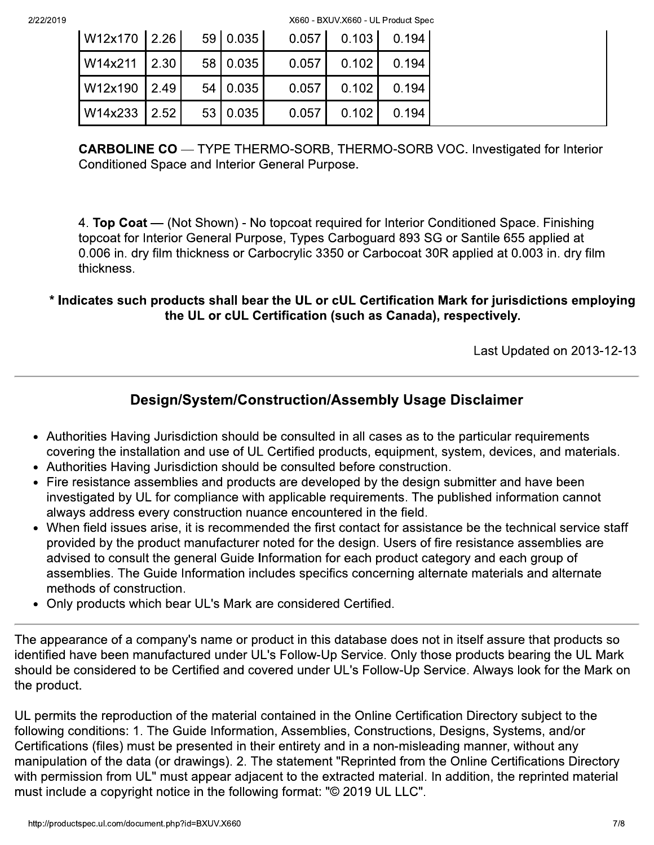| W12x170   2.26 |  | 59 0.035   |       | $0.057$ $0.103$ $0.194$ |       |
|----------------|--|------------|-------|-------------------------|-------|
| W14x211 2.30   |  | 58 0.035   | 0.057 | 0.102                   | 0.194 |
| W12x190 2.49   |  | 54 0.035   | 0.057 | 0.102                   | 0.194 |
| W14x233 2.52   |  | 53   0.035 | 0.057 | 0.102                   | 0.194 |

**CARBOLINE CO** — TYPE THERMO-SORB, THERMO-SORB VOC. Investigated for Interior Conditioned Space and Interior General Purpose.

4. Top Coat — (Not Shown) - No topcoat required for Interior Conditioned Space. Finishing topcoat for Interior General Purpose, Types Carboguard 893 SG or Santile 655 applied at 0.006 in. dry film thickness or Carbocrylic 3350 or Carbocoat 30R applied at 0.003 in. dry film thickness.

\* Indicates such products shall bear the UL or cUL Certification Mark for jurisdictions employing the UL or cUL Certification (such as Canada), respectively.

Last Updated on 2013-12-13

# Design/System/Construction/Assembly Usage Disclaimer

- Authorities Having Jurisdiction should be consulted in all cases as to the particular requirements covering the installation and use of UL Certified products, equipment, system, devices, and materials.
- Authorities Having Jurisdiction should be consulted before construction.
- Fire resistance assemblies and products are developed by the design submitter and have been investigated by UL for compliance with applicable requirements. The published information cannot always address every construction nuance encountered in the field.
- When field issues arise, it is recommended the first contact for assistance be the technical service staff provided by the product manufacturer noted for the design. Users of fire resistance assemblies are advised to consult the general Guide Information for each product category and each group of assemblies. The Guide Information includes specifics concerning alternate materials and alternate methods of construction.
- Only products which bear UL's Mark are considered Certified.

The appearance of a company's name or product in this database does not in itself assure that products so identified have been manufactured under UL's Follow-Up Service. Only those products bearing the UL Mark should be considered to be Certified and covered under UL's Follow-Up Service. Always look for the Mark on the product.

UL permits the reproduction of the material contained in the Online Certification Directory subject to the following conditions: 1. The Guide Information, Assemblies, Constructions, Designs, Systems, and/or Certifications (files) must be presented in their entirety and in a non-misleading manner, without any manipulation of the data (or drawings). 2. The statement "Reprinted from the Online Certifications Directory with permission from UL" must appear adjacent to the extracted material. In addition, the reprinted material must include a copyright notice in the following format: "© 2019 UL LLC".